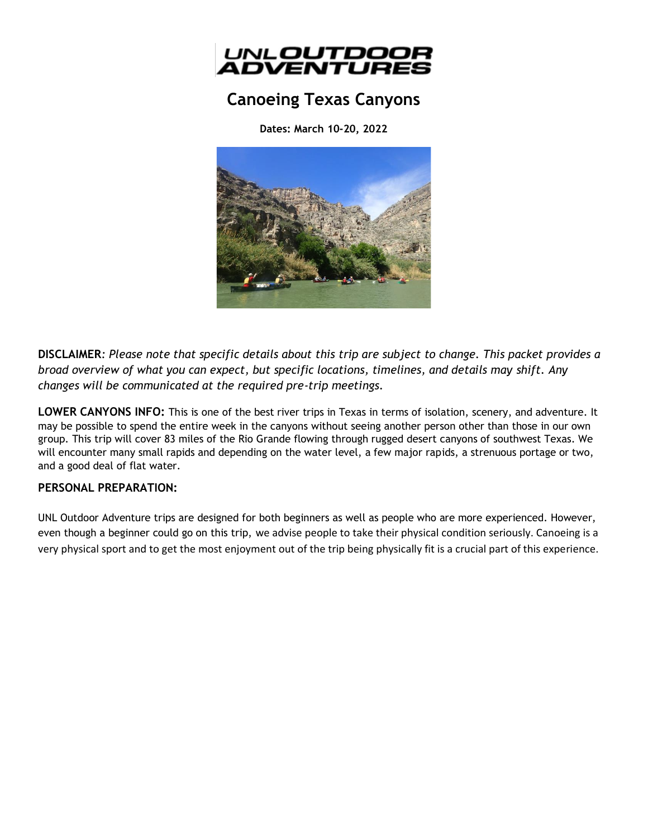

# **Canoeing Texas Canyons**

**Dates: March 10-20, 2022**



**DISCLAIMER***: Please note that specific details about this trip are subject to change. This packet provides a broad overview of what you can expect, but specific locations, timelines, and details may shift. Any changes will be communicated at the required pre-trip meetings.*

**LOWER CANYONS INFO:** This is one of the best river trips in Texas in terms of isolation, scenery, and adventure. It may be possible to spend the entire week in the canyons without seeing another person other than those in our own group. This trip will cover 83 miles of the Rio Grande flowing through rugged desert canyons of southwest Texas. We will encounter many small rapids and depending on the water level, a few major rapids, a strenuous portage or two, and a good deal of flat water.

# **PERSONAL PREPARATION:**

UNL Outdoor Adventure trips are designed for both beginners as well as people who are more experienced. However, even though a beginner could go on this trip, we advise people to take their physical condition seriously. Canoeing is a very physical sport and to get the most enjoyment out of the trip being physically fit is a crucial part of this experience.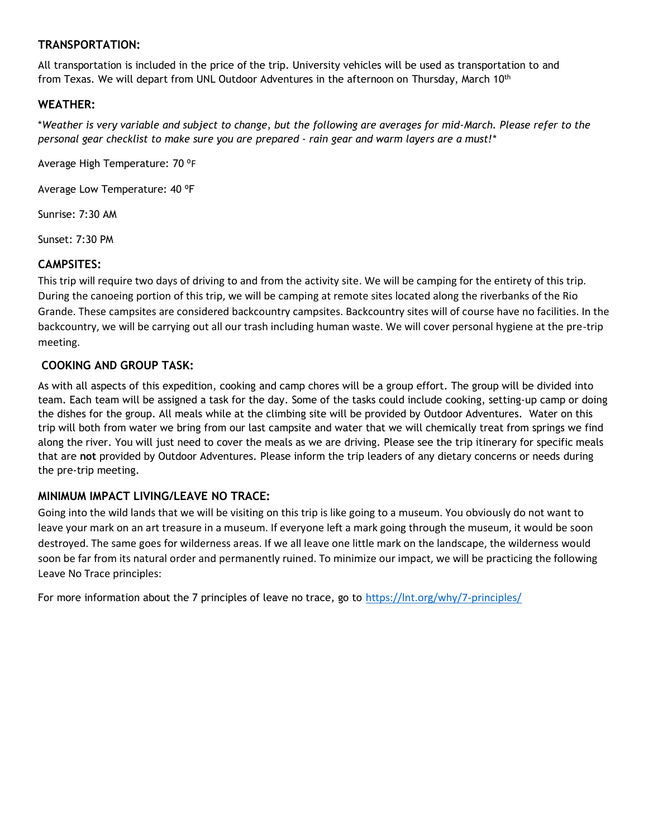# **TRANSPORTATION:**

All transportation is included in the price of the trip. University vehicles will be used as transportation to and from Texas. We will depart from UNL Outdoor Adventures in the afternoon on Thursday, March 10<sup>th</sup>

# **WEATHER:**

\**Weather is very variable and subject to change, but the following are averages for mid-March. Please refer to the personal gear checklist to make sure you are prepared - rain gear and warm layers are a must!\**

Average High Temperature: 70 °F

Average Low Temperature: 40 °F

Sunrise: 7:30 AM

Sunset: 7:30 PM

## **CAMPSITES:**

This trip will require two days of driving to and from the activity site. We will be camping for the entirety of this trip. During the canoeing portion of this trip, we will be camping at remote sites located along the riverbanks of the Rio Grande. These campsites are considered backcountry campsites. Backcountry sites will of course have no facilities. In the backcountry, we will be carrying out all our trash including human waste. We will cover personal hygiene at the pre-trip meeting.

## **COOKING AND GROUP TASK:**

As with all aspects of this expedition, cooking and camp chores will be a group effort. The group will be divided into team. Each team will be assigned a task for the day. Some of the tasks could include cooking, setting-up camp or doing the dishes for the group. All meals while at the climbing site will be provided by Outdoor Adventures. Water on this trip will both from water we bring from our last campsite and water that we will chemically treat from springs we find along the river. You will just need to cover the meals as we are driving. Please see the trip itinerary for specific meals that are **not** provided by Outdoor Adventures. Please inform the trip leaders of any dietary concerns or needs during the pre-trip meeting.

#### **MINIMUM IMPACT LIVING/LEAVE NO TRACE:**

Going into the wild lands that we will be visiting on this trip is like going to a museum. You obviously do not want to leave your mark on an art treasure in a museum. If everyone left a mark going through the museum, it would be soon destroyed. The same goes for wilderness areas. If we all leave one little mark on the landscape, the wilderness would soon be far from its natural order and permanently ruined. To minimize our impact, we will be practicing the following Leave No Trace principles:

For more information about the 7 principles of leave no trace, go to <https://lnt.org/why/7-principles/>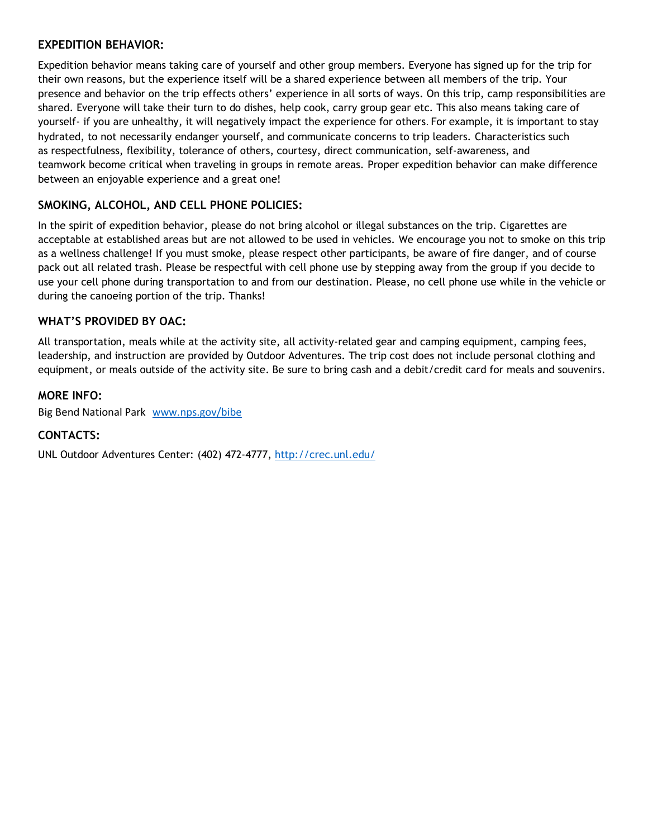## **EXPEDITION BEHAVIOR:**

Expedition behavior means taking care of yourself and other group members. Everyone has signed up for the trip for their own reasons, but the experience itself will be a shared experience between all members of the trip. Your presence and behavior on the trip effects others' experience in all sorts of ways. On this trip, camp responsibilities are shared. Everyone will take their turn to do dishes, help cook, carry group gear etc. This also means taking care of yourself- if you are unhealthy, it will negatively impact the experience for others. For example, it is important to stay hydrated, to not necessarily endanger yourself, and communicate concerns to trip leaders. Characteristics such as respectfulness, flexibility, tolerance of others, courtesy, direct communication, self-awareness, and teamwork become critical when traveling in groups in remote areas. Proper expedition behavior can make difference between an enjoyable experience and a great one!

# **SMOKING, ALCOHOL, AND CELL PHONE POLICIES:**

In the spirit of expedition behavior, please do not bring alcohol or illegal substances on the trip. Cigarettes are acceptable at established areas but are not allowed to be used in vehicles. We encourage you not to smoke on this trip as a wellness challenge! If you must smoke, please respect other participants, be aware of fire danger, and of course pack out all related trash. Please be respectful with cell phone use by stepping away from the group if you decide to use your cell phone during transportation to and from our destination. Please, no cell phone use while in the vehicle or during the canoeing portion of the trip. Thanks!

# **WHAT'S PROVIDED BY OAC:**

All transportation, meals while at the activity site, all activity-related gear and camping equipment, camping fees, leadership, and instruction are provided by Outdoor Adventures. The trip cost does not include personal clothing and equipment, or meals outside of the activity site. Be sure to bring cash and a debit/credit card for meals and souvenirs.

## **MORE INFO:**

Big Bend National Park [www.nps.gov/bibe](http://www.nps.gov/bibe)

# **CONTACTS:**

UNL Outdoor Adventures Center: (402) 472-4777,<http://crec.unl.edu/>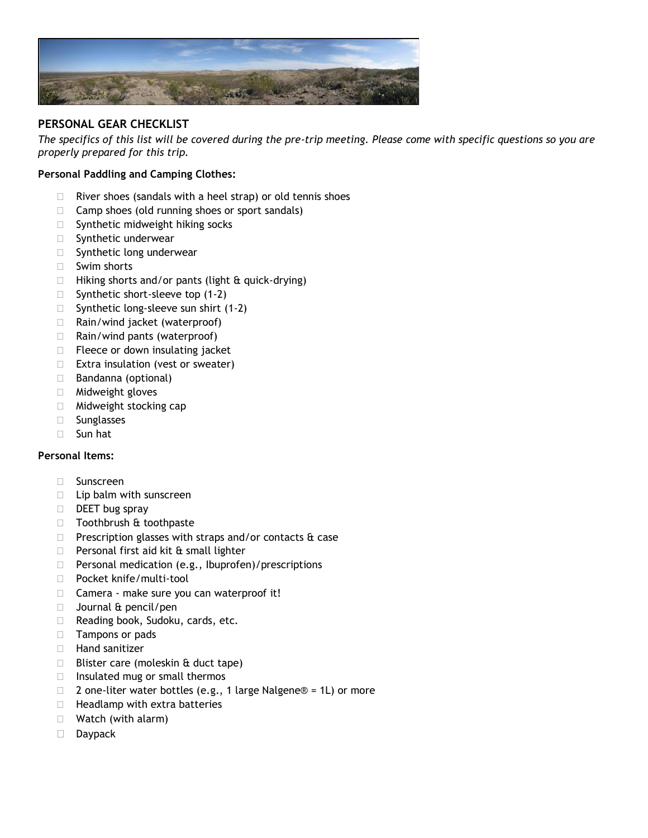

# **PERSONAL GEAR CHECKLIST**

*The specifics of this list will be covered during the pre-trip meeting. Please come with specific questions so you are properly prepared for this trip.*

#### **Personal Paddling and Camping Clothes:**

- $\Box$  River shoes (sandals with a heel strap) or old tennis shoes
- $\Box$  Camp shoes (old running shoes or sport sandals)
- $\Box$  Synthetic midweight hiking socks
- **Synthetic underwear**
- $\square$  Synthetic long underwear
- □ Swim shorts
- $\Box$  Hiking shorts and/or pants (light & quick-drying)
- $\Box$  Synthetic short-sleeve top (1-2)
- $\Box$  Synthetic long-sleeve sun shirt (1-2)
- $\Box$  Rain/wind jacket (waterproof)
- $\Box$  Rain/wind pants (waterproof)
- $\Box$  Fleece or down insulating jacket
- $\Box$  Extra insulation (vest or sweater)
- □ Bandanna (optional)
- Midweight gloves
- □ Midweight stocking cap
- □ Sunglasses
- Sun hat

#### **Personal Items:**

- □ Sunscreen
- $\Box$  Lip balm with sunscreen
- $\Box$  DEET bug spray
- □ Toothbrush & toothpaste
- $\Box$  Prescription glasses with straps and/or contacts  $\hat{\alpha}$  case
- $\Box$  Personal first aid kit & small lighter
- $\Box$  Personal medication (e.g., Ibuprofen)/prescriptions
- D Pocket knife/multi-tool
- □ Camera make sure you can waterproof it!
- $\Box$  Journal & pencil/pen
- □ Reading book, Sudoku, cards, etc.
- □ Tampons or pads
- $\Box$  Hand sanitizer
- $\Box$  Blister care (moleskin & duct tape)
- $\Box$  Insulated mug or small thermos
- □ 2 one-liter water bottles (e.g., 1 large Nalgene® = 1L) or more
- $\Box$  Headlamp with extra batteries
- □ Watch (with alarm)
- Daypack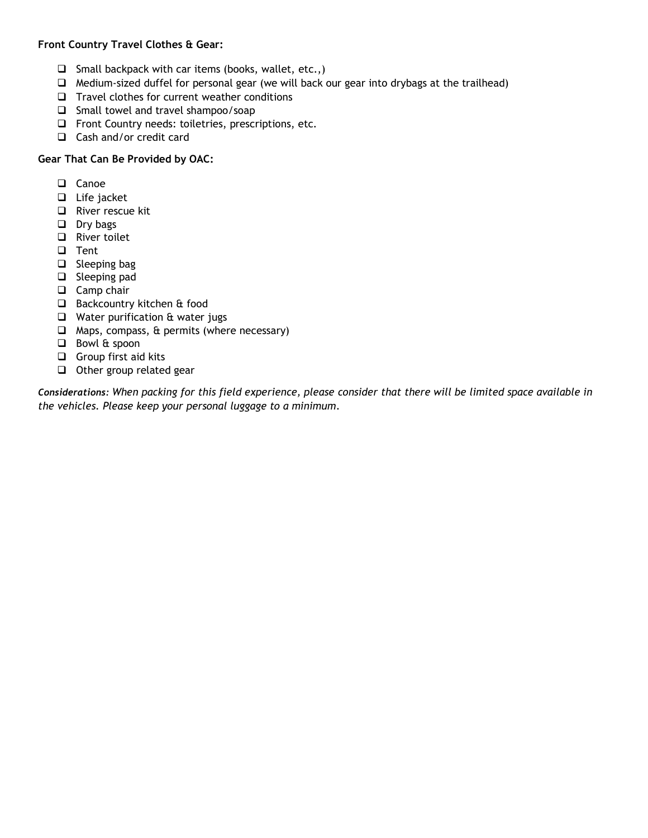## **Front Country Travel Clothes & Gear:**

- $\Box$  Small backpack with car items (books, wallet, etc.,)
- ❑ Medium-sized duffel for personal gear (we will back our gear into drybags at the trailhead)
- ❑ Travel clothes for current weather conditions
- ❑ Small towel and travel shampoo/soap
- ❑ Front Country needs: toiletries, prescriptions, etc.
- ❑ Cash and/or credit card

#### **Gear That Can Be Provided by OAC:**

- ❑ Canoe
- ❑ Life jacket
- ❑ River rescue kit
- ❑ Dry bags
- ❑ River toilet
- ❑ Tent
- ❑ Sleeping bag
- ❑ Sleeping pad
- ❑ Camp chair
- ❑ Backcountry kitchen & food
- ❑ Water purification & water jugs
- ❑ Maps, compass, & permits (where necessary)
- ❑ Bowl & spoon
- ❑ Group first aid kits
- ❑ Other group related gear

*Considerations: When packing for this field experience, please consider that there will be limited space available in the vehicles. Please keep your personal luggage to a minimum.*